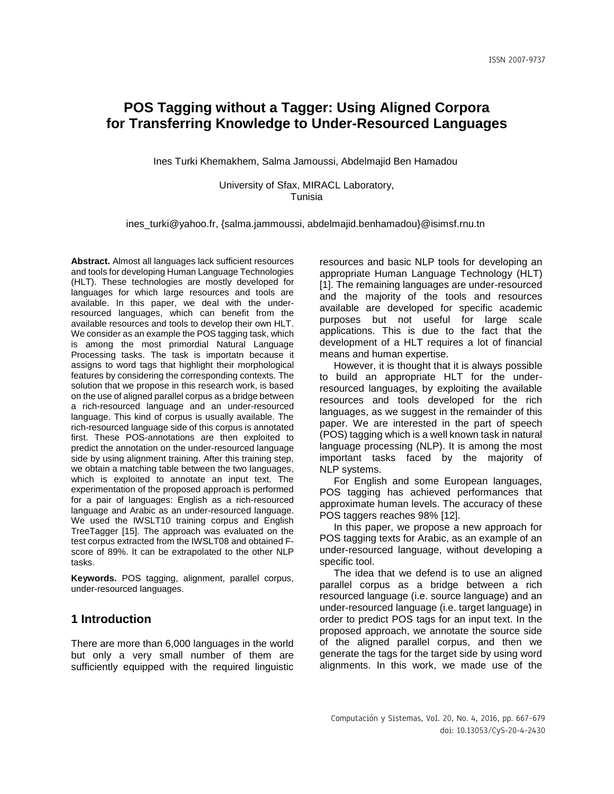Ines Turki Khemakhem, Salma Jamoussi, Abdelmajid Ben Hamadou

University of Sfax, MIRACL Laboratory, Tunisia

[ines\\_turki@yahoo.fr,](mailto:ines_turki@yahoo.fr) {[salma.jammoussi, abdelmajid.benhamadou](mailto:salma.jammoussi,%20abdelmajid.benhamadou%7d@isimsf.rnu.tn)}@isimsf.rnu.tn

**Abstract.** Almost all languages lack sufficient resources and tools for developing Human Language Technologies (HLT). These technologies are mostly developed for languages for which large resources and tools are available. In this paper, we deal with the underresourced languages, which can benefit from the available resources and tools to develop their own HLT. We consider as an example the POS tagging task, which is among the most primordial Natural Language Processing tasks. The task is importatn because it assigns to word tags that highlight their morphological features by considering the corresponding contexts. The solution that we propose in this research work, is based on the use of aligned parallel corpus as a bridge between a rich-resourced language and an under-resourced language. This kind of corpus is usually available. The rich-resourced language side of this corpus is annotated first. These POS-annotations are then exploited to predict the annotation on the under-resourced language side by using alignment training. After this training step, we obtain a matching table between the two languages, which is exploited to annotate an input text. The experimentation of the proposed approach is performed for a pair of languages: English as a rich-resourced language and Arabic as an under-resourced language. We used the IWSLT10 training corpus and English TreeTagger [15]. The approach was evaluated on the test corpus extracted from the IWSLT08 and obtained Fscore of 89%. It can be extrapolated to the other NLP tasks.

**Keywords.** POS tagging, alignment, parallel corpus, under-resourced languages.

## **1 Introduction**

There are more than 6,000 languages in the world but only a very small number of them are sufficiently equipped with the required linguistic resources and basic NLP tools for developing an appropriate Human Language Technology (HLT) [1]. The remaining languages are under-resourced and the majority of the tools and resources available are developed for specific academic purposes but not useful for large scale applications. This is due to the fact that the development of a HLT requires a lot of financial means and human expertise.

However, it is thought that it is always possible to build an appropriate HLT for the underresourced languages, by exploiting the available resources and tools developed for the rich languages, as we suggest in the remainder of this paper. We are interested in the part of speech (POS) tagging which is a well known task in natural language processing (NLP). It is among the most important tasks faced by the majority of NLP systems.

For English and some European languages, POS tagging has achieved performances that approximate human levels. The accuracy of these POS taggers reaches 98% [12].

In this paper, we propose a new approach for POS tagging texts for Arabic, as an example of an under-resourced language, without developing a specific tool.

The idea that we defend is to use an aligned parallel corpus as a bridge between a rich resourced language (i.e. source language) and an under-resourced language (i.e. target language) in order to predict POS tags for an input text. In the proposed approach, we annotate the source side of the aligned parallel corpus, and then we generate the tags for the target side by using word alignments. In this work, we made use of the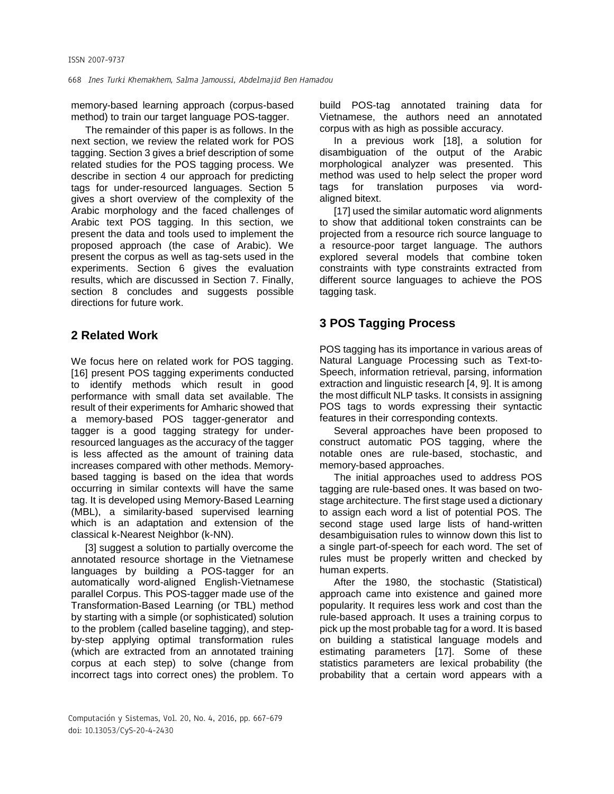memory-based learning approach (corpus-based method) to train our target language POS-tagger.

The remainder of this paper is as follows. In the next section, we review the related work for POS tagging. Section 3 gives a brief description of some related studies for the POS tagging process. We describe in section 4 our approach for predicting tags for under-resourced languages. Section 5 gives a short overview of the complexity of the Arabic morphology and the faced challenges of Arabic text POS tagging. In this section, we present the data and tools used to implement the proposed approach (the case of Arabic). We present the corpus as well as tag-sets used in the experiments. Section 6 gives the evaluation results, which are discussed in Section 7. Finally, section 8 concludes and suggests possible directions for future work.

# **2 Related Work**

We focus here on related work for POS tagging. [16] present POS tagging experiments conducted to identify methods which result in good performance with small data set available. The result of their experiments for Amharic showed that a memory-based POS tagger-generator and tagger is a good tagging strategy for underresourced languages as the accuracy of the tagger is less affected as the amount of training data increases compared with other methods. Memorybased tagging is based on the idea that words occurring in similar contexts will have the same tag. It is developed using Memory-Based Learning (MBL), a similarity-based supervised learning which is an adaptation and extension of the classical k-Nearest Neighbor (k-NN).

[3] suggest a solution to partially overcome the annotated resource shortage in the Vietnamese languages by building a POS-tagger for an automatically word-aligned English-Vietnamese parallel Corpus. This POS-tagger made use of the Transformation-Based Learning (or TBL) method by starting with a simple (or sophisticated) solution to the problem (called baseline tagging), and stepby-step applying optimal transformation rules (which are extracted from an annotated training corpus at each step) to solve (change from incorrect tags into correct ones) the problem. To

build POS-tag annotated training data for Vietnamese, the authors need an annotated corpus with as high as possible accuracy.

In a previous work [18], a solution for disambiguation of the output of the Arabic morphological analyzer was presented. This method was used to help select the proper word tags for translation purposes via wordaligned bitext.

[17] used the similar automatic word alignments to show that additional token constraints can be projected from a resource rich source language to a resource-poor target language. The authors explored several models that combine token constraints with type constraints extracted from different source languages to achieve the POS tagging task.

# **3 POS Tagging Process**

POS tagging has its importance in various areas of Natural Language Processing such as Text-to-Speech, information retrieval, parsing, information extraction and linguistic research [4, 9]. It is among the most difficult NLP tasks. It consists in assigning POS tags to words expressing their syntactic features in their corresponding contexts.

Several approaches have been proposed to construct automatic POS tagging, where the notable ones are rule-based, stochastic, and memory-based approaches.

The initial approaches used to address POS tagging are rule-based ones. It was based on twostage architecture. The first stage used a dictionary to assign each word a list of potential POS. The second stage used large lists of hand-written desambiguisation rules to winnow down this list to a single part-of-speech for each word. The set of rules must be properly written and checked by human experts.

After the 1980, the stochastic (Statistical) approach came into existence and gained more popularity. It requires less work and cost than the rule-based approach. It uses a training corpus to pick up the most probable tag for a word. It is based on building a statistical language models and estimating parameters [17]. Some of these statistics parameters are lexical probability (the probability that a certain word appears with a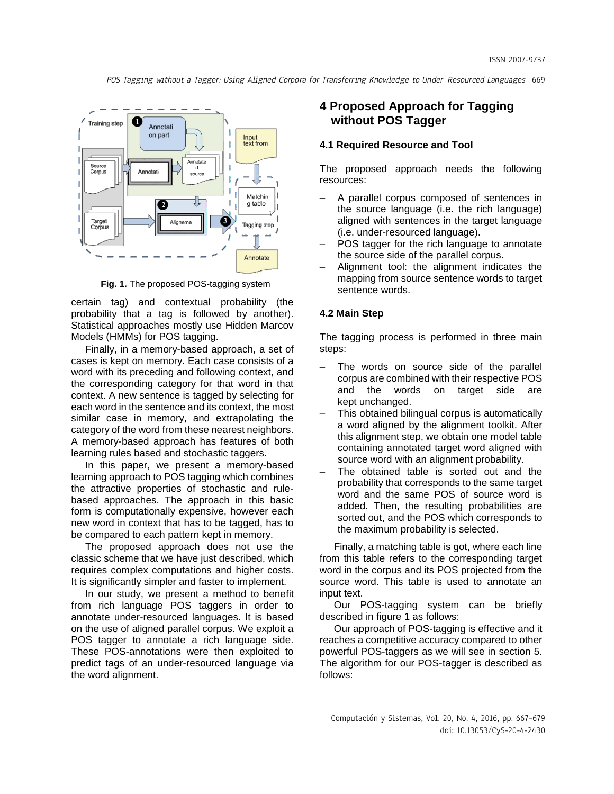

**Fig. 1.** The proposed POS-tagging system

certain tag) and contextual probability (the probability that a tag is followed by another). Statistical approaches mostly use Hidden Marcov Models (HMMs) for POS tagging.

Finally, in a memory-based approach, a set of cases is kept on memory. Each case consists of a word with its preceding and following context, and the corresponding category for that word in that context. A new sentence is tagged by selecting for each word in the sentence and its context, the most similar case in memory, and extrapolating the category of the word from these nearest neighbors. A memory-based approach has features of both learning rules based and stochastic taggers.

In this paper, we present a memory-based learning approach to POS tagging which combines the attractive properties of stochastic and rulebased approaches. The approach in this basic form is computationally expensive, however each new word in context that has to be tagged, has to be compared to each pattern kept in memory.

The proposed approach does not use the classic scheme that we have just described, which requires complex computations and higher costs. It is significantly simpler and faster to implement.

In our study, we present a method to benefit from rich language POS taggers in order to annotate under-resourced languages. It is based on the use of aligned parallel corpus. We exploit a POS tagger to annotate a rich language side. These POS-annotations were then exploited to predict tags of an under-resourced language via the word alignment.

## **4 Proposed Approach for Tagging without POS Tagger**

### **4.1 Required Resource and Tool**

The proposed approach needs the following resources:

- A parallel corpus composed of sentences in the source language (i.e. the rich language) aligned with sentences in the target language (i.e. under-resourced language).
- POS tagger for the rich language to annotate the source side of the parallel corpus.
- Alignment tool: the alignment indicates the mapping from source sentence words to target sentence words.

#### **4.2 Main Step**

The tagging process is performed in three main steps:

- The words on source side of the parallel corpus are combined with their respective POS and the words on target side are kept unchanged.
- This obtained bilingual corpus is automatically a word aligned by the alignment toolkit. After this alignment step, we obtain one model table containing annotated target word aligned with source word with an alignment probability.
- The obtained table is sorted out and the probability that corresponds to the same target word and the same POS of source word is added. Then, the resulting probabilities are sorted out, and the POS which corresponds to the maximum probability is selected.

Finally, a matching table is got, where each line from this table refers to the corresponding target word in the corpus and its POS projected from the source word. This table is used to annotate an input text.

Our POS-tagging system can be briefly described in figure 1 as follows:

Our approach of POS-tagging is effective and it reaches a competitive accuracy compared to other powerful POS-taggers as we will see in section 5. The algorithm for our POS-tagger is described as follows: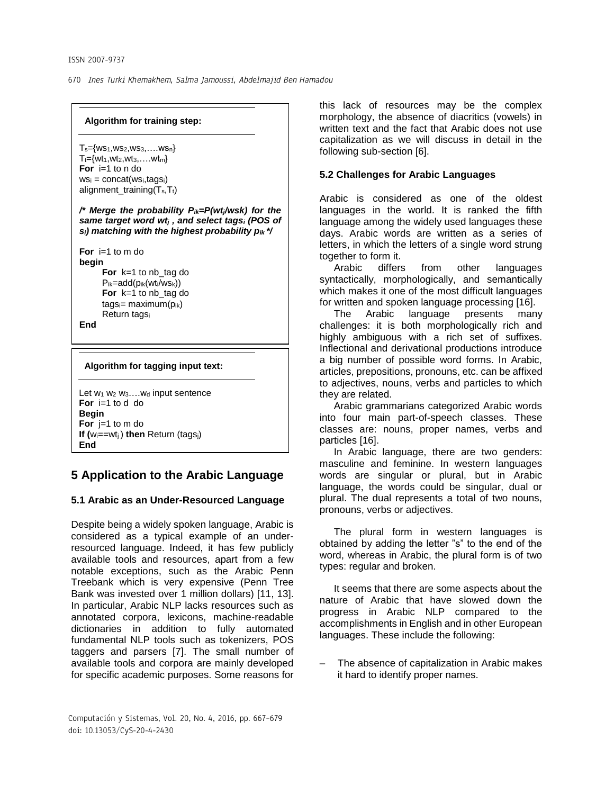### **Algorithm for training step:**

 $T_s = \{ws_1,ws_2,ws_3,...,ws_n\}$  $T_t = \{wt_1, wt_2, wt_3, \ldots, wt_m\}$ **For** i=1 to n do  $ws_i = concat(ws_i, tags_i)$ alignment\_training $(T_s,T_t)$ 

*/\* Merge the probability Pik=P(wtj/wsk) for the same target word wt<sup>j</sup> , and select tags<sup>i</sup> (POS of si) matching with the highest probability pik \*/*

**For** i=1 to m do **begin For** k=1 to nb\_tag do  $P_{ik}=add(p_{ik}(wt_i/ws_k))$ **For** k=1 to nb\_tag do  $tags = maximum(p_{ik})$ Return tags<sup>i</sup>

**End** 

#### **Algorithm for tagging input text:**

```
Let w<sub>1</sub> w<sub>2</sub> w<sub>3</sub>....w<sub>d</sub> input sentence
For i=1 to d do
Begin
For j=1 to m do
If (wi==wtj ) then Return (tagsj)
End
```
# **5 Application to the Arabic Language**

## **5.1 Arabic as an Under-Resourced Language**

Despite being a widely spoken language, Arabic is considered as a typical example of an underresourced language. Indeed, it has few publicly available tools and resources, apart from a few notable exceptions, such as the Arabic Penn Treebank which is very expensive (Penn Tree Bank was invested over 1 million dollars) [11, 13]. In particular, Arabic NLP lacks resources such as annotated corpora, lexicons, machine-readable dictionaries in addition to fully automated fundamental NLP tools such as tokenizers, POS taggers and parsers [7]. The small number of available tools and corpora are mainly developed for specific academic purposes. Some reasons for

this lack of resources may be the complex morphology, the absence of diacritics (vowels) in written text and the fact that Arabic does not use capitalization as we will discuss in detail in the following sub-section [6].

## **5.2 Challenges for Arabic Languages**

Arabic is considered as one of the oldest languages in the world. It is ranked the fifth language among the widely used languages these days. Arabic words are written as a series of letters, in which the letters of a single word strung together to form it.

Arabic differs from other languages syntactically, morphologically, and semantically which makes it one of the most difficult languages for written and spoken language processing [16].

The Arabic language presents many challenges: it is both morphologically rich and highly ambiguous with a rich set of suffixes. Inflectional and derivational productions introduce a big number of possible word forms. In Arabic, articles, prepositions, pronouns, etc. can be affixed to adjectives, nouns, verbs and particles to which they are related.

Arabic grammarians categorized Arabic words into four main part-of-speech classes. These classes are: nouns, proper names, verbs and particles [16].

In Arabic language, there are two genders: masculine and feminine. In western languages words are singular or plural, but in Arabic language, the words could be singular, dual or plural. The dual represents a total of two nouns, pronouns, verbs or adjectives.

The plural form in western languages is obtained by adding the letter "s" to the end of the word, whereas in Arabic, the plural form is of two types: regular and broken.

It seems that there are some aspects about the nature of Arabic that have slowed down the progress in Arabic NLP compared to the accomplishments in English and in other European languages. These include the following:

– The absence of capitalization in Arabic makes it hard to identify proper names.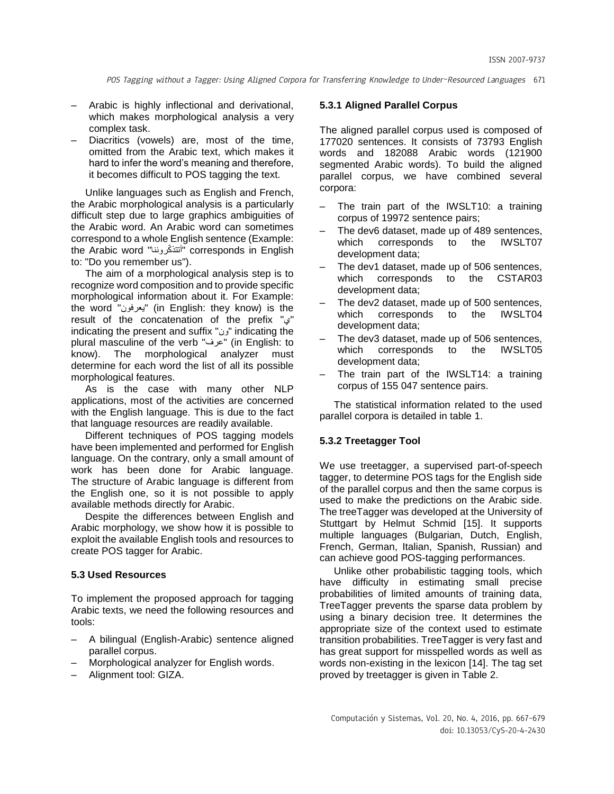- Arabic is highly inflectional and derivational, which makes morphological analysis a very complex task.
- Diacritics (vowels) are, most of the time, omitted from the Arabic text, which makes it hard to infer the word's meaning and therefore, it becomes difficult to POS tagging the text.

Unlike languages such as English and French, the Arabic morphological analysis is a particularly difficult step due to large graphics ambiguities of the Arabic word. An Arabic word can sometimes correspond to a whole English sentence (Example: the Arabic word "كرونناّ أتتذ "corresponds in English to: "Do you remember us").

The aim of a morphological analysis step is to recognize word composition and to provide specific morphological information about it. For Example: the word "يعرفون) "in English: they know) is the result of the concatenation of the prefix "ي " indicating the present and suffix "ون "indicating the plural masculine of the verb "عرف) "in English: to know). The morphological analyzer must determine for each word the list of all its possible morphological features.

As is the case with many other NLP applications, most of the activities are concerned with the English language. This is due to the fact that language resources are readily available.

Different techniques of POS tagging models have been implemented and performed for English language. On the contrary, only a small amount of work has been done for Arabic language. The structure of Arabic language is different from the English one, so it is not possible to apply available methods directly for Arabic.

Despite the differences between English and Arabic morphology, we show how it is possible to exploit the available English tools and resources to create POS tagger for Arabic.

#### **5.3 Used Resources**

To implement the proposed approach for tagging Arabic texts, we need the following resources and tools:

- A bilingual (English-Arabic) sentence aligned parallel corpus.
- Morphological analyzer for English words.
- Alignment tool: GIZA.

## **5.3.1 Aligned Parallel Corpus**

The aligned parallel corpus used is composed of 177020 sentences. It consists of 73793 English words and 182088 Arabic words (121900 segmented Arabic words). To build the aligned parallel corpus, we have combined several corpora:

- The train part of the IWSLT10: a training corpus of 19972 sentence pairs;
- The dev6 dataset, made up of 489 sentences, which corresponds to the IWSLT07 development data;
- The dev1 dataset, made up of 506 sentences, which corresponds to the CSTAR03 development data;
- The dev2 dataset, made up of 500 sentences, which corresponds to the IWSLT04 development data;
- The dev3 dataset, made up of 506 sentences, which corresponds to the IWSLT05 development data;
- The train part of the IWSLT14: a training corpus of 155 047 sentence pairs.

The statistical information related to the used parallel corpora is detailed in table 1.

## **5.3.2 Treetagger Tool**

We use treetagger, a supervised part-of-speech tagger, to determine POS tags for the English side of the parallel corpus and then the same corpus is used to make the predictions on the Arabic side. The treeTagger was developed at the University of Stuttgart by Helmut Schmid [15]. It supports multiple languages (Bulgarian, Dutch, English, French, German, Italian, Spanish, Russian) and can achieve good POS-tagging performances.

Unlike other probabilistic tagging tools, which have difficulty in estimating small precise probabilities of limited amounts of training data, TreeTagger prevents the sparse data problem by using a binary decision tree. It determines the appropriate size of the context used to estimate transition probabilities. TreeTagger is very fast and has great support for misspelled words as well as words non-existing in the lexicon [14]. The tag set proved by treetagger is given in Table 2.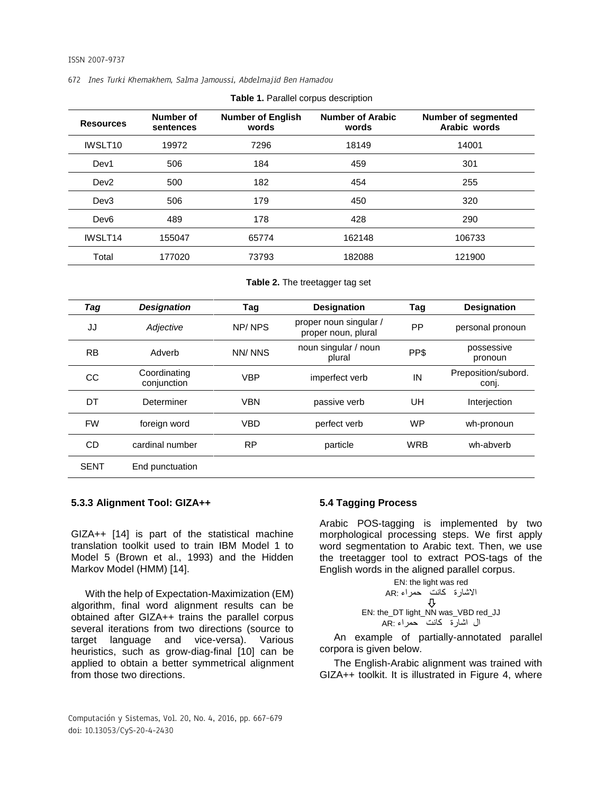| <b>Resources</b>    | Number of<br>sentences | <b>Number of English</b><br>words | <b>Number of Arabic</b><br>words | <b>Number of segmented</b><br>Arabic words |
|---------------------|------------------------|-----------------------------------|----------------------------------|--------------------------------------------|
| IWSLT <sub>10</sub> | 19972                  | 7296                              | 18149                            | 14001                                      |
| Dev1                | 506                    | 184                               | 459                              | 301                                        |
| Dev <sub>2</sub>    | 500                    | 182                               | 454                              | 255                                        |
| Dev3                | 506                    | 179                               | 450                              | 320                                        |
| Dev <sub>6</sub>    | 489                    | 178                               | 428                              | 290                                        |
| IWSLT <sub>14</sub> | 155047                 | 65774                             | 162148                           | 106733                                     |
| Total               | 177020                 | 73793                             | 182088                           | 121900                                     |

**Table 2.** The treetagger tag set

| Tag         | <b>Designation</b>          | Tag        | <b>Designation</b>                            | Tag        | <b>Designation</b>           |
|-------------|-----------------------------|------------|-----------------------------------------------|------------|------------------------------|
| JJ          | Adjective                   | NP/NPS     | proper noun singular /<br>proper noun, plural | <b>PP</b>  | personal pronoun             |
| <b>RB</b>   | Adverb                      | NN/NNS     | noun singular / noun<br>plural                | PP\$       | possessive<br>pronoun        |
| CС          | Coordinating<br>conjunction | <b>VBP</b> | imperfect verb                                | IN         | Preposition/subord.<br>conj. |
| DT          | Determiner                  | <b>VBN</b> | passive verb                                  | UH         | Interjection                 |
| <b>FW</b>   | foreign word                | <b>VBD</b> | perfect verb                                  | <b>WP</b>  | wh-pronoun                   |
| CD          | cardinal number             | <b>RP</b>  | particle                                      | <b>WRB</b> | wh-abverb                    |
| <b>SENT</b> | End punctuation             |            |                                               |            |                              |

#### **5.3.3 Alignment Tool: GIZA++**

GIZA++ [14] is part of the statistical machine translation toolkit used to train IBM Model 1 to Model 5 (Brown et al., 1993) and the Hidden Markov Model (HMM) [14].

With the help of Expectation-Maximization (EM) algorithm, final word alignment results can be obtained after GIZA++ trains the parallel corpus several iterations from two directions (source to target language and vice-versa). Various heuristics, such as grow-diag-final [10] can be applied to obtain a better symmetrical alignment from those two directions.

## **5.4 Tagging Process**

Arabic POS-tagging is implemented by two morphological processing steps. We first apply word segmentation to Arabic text. Then, we use the treetagger tool to extract POS-tags of the English words in the aligned parallel corpus.

EN: the light was red االشارة كانت حمراء :AR EN: the\_DT light\_NN was\_VBD red\_JJ ال اشارة كانت حمراء :AR

An example of partially-annotated parallel corpora is given below.

The English-Arabic alignment was trained with GIZA++ toolkit. It is illustrated in Figure 4, where

Computación y Sistemas, Vol. 20, No. 4, 2016, pp. 667–679 doi: 10.13053/CyS-20-4-2430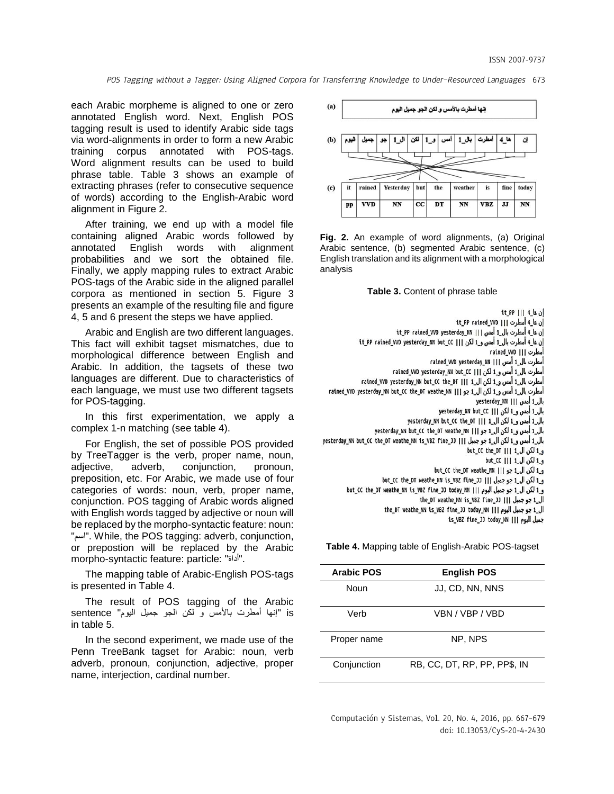each Arabic morpheme is aligned to one or zero annotated English word. Next, English POS tagging result is used to identify Arabic side tags via word-alignments in order to form a new Arabic training corpus annotated with POS-tags. Word alignment results can be used to build phrase table. Table 3 shows an example of extracting phrases (refer to consecutive sequence of words) according to the English-Arabic word alignment in Figure 2.

After training, we end up with a model file containing aligned Arabic words followed by annotated English words with alignment probabilities and we sort the obtained file. Finally, we apply mapping rules to extract Arabic POS-tags of the Arabic side in the aligned parallel corpora as mentioned in section 5. Figure 3 presents an example of the resulting file and figure 4, 5 and 6 present the steps we have applied.

Arabic and English are two different languages. This fact will exhibit tagset mismatches, due to morphological difference between English and Arabic. In addition, the tagsets of these two languages are different. Due to characteristics of each language, we must use two different tagsets for POS-tagging.

In this first experimentation, we apply a complex 1-n matching (see table 4).

For English, the set of possible POS provided by TreeTagger is the verb, proper name, noun, adjective, adverb, conjunction, pronoun, preposition, etc. For Arabic, we made use of four categories of words: noun, verb, proper name, conjunction. POS tagging of Arabic words aligned with English words tagged by adjective or noun will be replaced by the morpho-syntactic feature: noun: "اسم". While, the POS tagging: adverb, conjunction, or prepostion will be replaced by the Arabic morpho-syntactic feature: particle: "أداة".

The mapping table of Arabic-English POS-tags is presented in Table 4.

The result of POS tagging of the Arabic is" إنها أمطرت باألمس و لكن الجو جميل اليوم" sentence in table 5.

In the second experiment, we made use of the Penn TreeBank tagset for Arabic: noun, verb adverb, pronoun, conjunction, adjective, proper name, interjection, cardinal number.



**Fig. 2.** An example of word alignments, (a) Original Arabic sentence, (b) segmented Arabic sentence, (c) English translation and its alignment with a morphological analysis



إن ها\_4 ||| it\_PP إن ها\_4 أمطرت [1] it\_PP\_rained\_WD إن ها\_4 أمطرت بال\_1 أمس [1] it\_PP\_rained\_WD\_yesterday\_NN\_1 إن ها\_4 أمطرت بال\_1 أمس و\_1 لكن [1] it\_PP\_rained\_WD\_yesterday\_NN\_but\_CC\_ nained\_WD ||| cained\_WD nained\_WD yesterday\_NN ||| pained\_WD yesterday\_NN rained\_WD yesterday\_NN but\_CC ||| مطرت بال\_1 أمس و\_1 لكن ||| rained\_WD yesterday\_NN but\_CC the\_DT ||| 1\_JJ مطرت بال\_1 || rained\_WD yesterday\_NN but\_CC the\_DT أمطرت بال\_1 أمس و\_1 لكن ال\_1 جو [ | | rained\_WD\_yesterday\_NN\_but\_CC\_the\_DT\_weathe\_NN بال\_1 أمس ||| yesterday\_NN بال\_1 أمس و\_1 لكن ||| yesterday\_NN but\_CC بال\_1 أمس و\_1 لكن ال\_1 ||| yesterday\_NN but\_CC the\_DT بال\_1 أمس و\_1 لكن ال\_1 جو ||| yesterday\_NN but\_CC the\_DT weathe\_NN ||| ع بال\_1 أمس و\_1 لكن ال\_1 جو جميل ||| 31\_Vesterday\_NN but\_CC the\_DT weathe\_NN is\_VBZ fine\_1 و 1 لكن ال 1 ||| but\_CC the\_DT و\_1 لكن ال\_1 ||| but\_CC out\_CC the\_DT weathe\_NN ||| ۶۹ بو but\_CC the\_DT weathe\_NN but\_CC the\_DT weathe\_NN is\_VBZ fine\_JJ today\_NN ||| (20 pm) + 1 (20 pm) but\_CC the\_DT weathe\_NN is\_VBZ fine\_JJ the\_DT weathe\_NN is\_VBZ fine\_JJ ||| Jpz = 1\_J the\_DT weathe\_NN is\_VBZ fine\_JJ today\_NN ||| سوم ||| he\_DT weathe\_NN is\_VBZ fine\_JJ today\_NN is\_VBZ fine\_JJ today\_NN ||| p بمبل البوم

**Table 4.** Mapping table of English-Arabic POS-tagset

| <b>Arabic POS</b> | <b>English POS</b>           |
|-------------------|------------------------------|
| Noun              | JJ, CD, NN, NNS              |
| Verb              | VBN / VBP / VBD              |
| Proper name       | NP. NPS                      |
| Conjunction       | RB, CC, DT, RP, PP, PP\$, IN |

Computación y Sistemas, Vol. 20, No. 4, 2016, pp. 667–679 doi: 10.13053/CyS-20-4-2430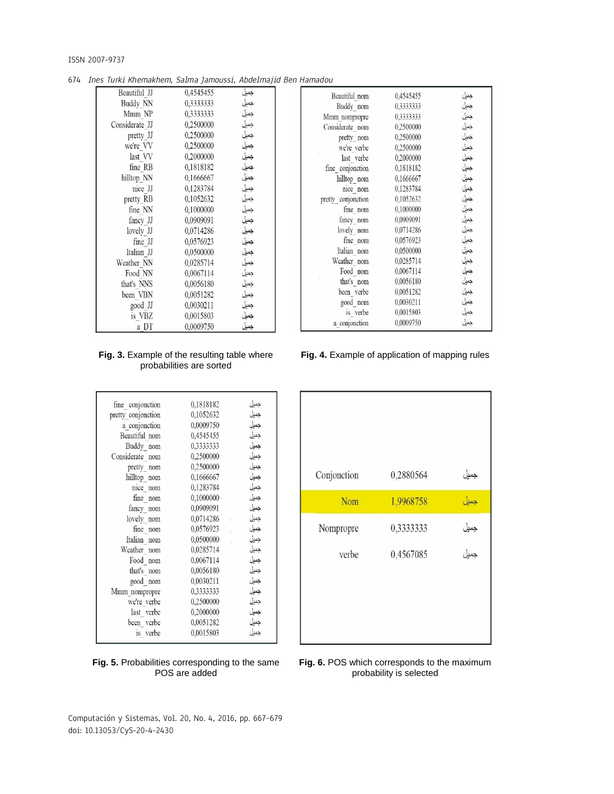674 Ines Turki Khemakhem, Salma Jamoussi, Abdelmajid Ben Hamadou

| Beautiful JJ   | 0,4545455 | جميل                                 |
|----------------|-----------|--------------------------------------|
| Buddy NN       | 0,3333333 | جميل                                 |
| Mmm NP         | 0,3333333 | جميل                                 |
| Considerate JJ | 0.2500000 | ۔<br>جمیل<br>جمیل<br>جمیل            |
| pretty JJ      | 0,2500000 |                                      |
| we're VV       | 0,2500000 |                                      |
| last VV        | 0.2000000 | جميل                                 |
| fine RB        | 0,1818182 | جميل                                 |
| hilltop NN     | 0,1666667 | جمیل<br>جمیل                         |
| nice JJ        | 0.1283784 |                                      |
| pretty RB      | 0,1052632 | جميل                                 |
| fine NN        | 0.1000000 | جميل<br>جميل                         |
| fancy JJ       | 0,0909091 |                                      |
| lovely JJ      | 0,0714286 | جميل                                 |
| fine JJ        | 0,0576923 | جميل                                 |
| Italian JJ     | 0,0500000 | جميل                                 |
| Weather NN     | 0,0285714 | .<br>جميل<br>جميل                    |
| Food NN        | 0,0067114 |                                      |
| that's NNS     | 0,0056180 |                                      |
| been VBN       | 0,0051282 |                                      |
| good JJ        | 0,0030211 |                                      |
| is VBZ         | 0,0015803 | جمیل<br>جمیل<br>جمیل<br>جمیل<br>جمیل |
| a DT           | 0,0009750 |                                      |

| <b>Fig. 3.</b> Example of the resulting table where |  |
|-----------------------------------------------------|--|
| probabilities are sorted                            |  |

| fine conjonction   | 0,1818182 | جميل      |
|--------------------|-----------|-----------|
| pretty conjonction | 0,1052632 | جميل      |
| a conjonction      | 0,0009750 | جميل      |
| Beautiful nom      | 0,4545455 | جميل      |
| Buddy nom          | 0,3333333 | جميل      |
| Considerate nom    | 0,2500000 | جميل      |
| pretty_nom         | 0,2500000 | جميل      |
| hilltop nom        | 0,1666667 | جميل      |
| nice nom           | 0,1283784 | جميل      |
| fine nom           | 0,1000000 | جميل      |
| fancy nom          | 0,0909091 | جميل      |
| lovely nom         | 0,0714286 | جميل      |
| fine nom           | 0,0576923 | .<br>جميل |
| Italian nom        | 0,0500000 | جميل      |
| Weather nom        | 0,0285714 | جميل      |
| Food nom           | 0,0067114 | جميل      |
| that's nom         | 0,0056180 | جميل      |
| good nom           | 0,0030211 | جميل      |
| Mmm nompropre      | 0,3333333 | جميل      |
| we're verbe        | 0,2500000 | جميل      |
| last verbe         | 0,2000000 | جميل      |
| been verbe         | 0,0051282 | جميل      |
| is verbe           | 0,0015803 | جمبل      |
|                    |           |           |

## **Fig. 5.** Probabilities corresponding to the same POS are added

| Beautiful nom      | 0.4545455 | جميل                                 |
|--------------------|-----------|--------------------------------------|
| Buddy nom          | 0,3333333 | جميل                                 |
| Mmm nompropre      | 0,3333333 | جميل                                 |
| Considerate nom    | 0,2500000 | جميل                                 |
| pretty nom         | 0.2500000 | جميل                                 |
| we're verbe        | 0.2500000 | جميل                                 |
| last verbe         | 0,2000000 | جميل                                 |
| fine conjonction   | 0,1818182 | جميل                                 |
| hilltop nom        | 0,1666667 | جميل                                 |
| nice nom           | 0,1283784 | جميل                                 |
| pretty conjonction | 0,1052632 | جميل                                 |
| fine nom           | 0,1000000 | جميل                                 |
| fancy nom          | 0.0909091 | جميل                                 |
| lovely nom         | 0,0714286 | جميل                                 |
| fine nom           | 0,0576923 | جميل                                 |
| Italian nom        | 0.0500000 | جميل                                 |
| Weather nom        | 0,0285714 | جميل                                 |
| Food nom           | 0.0067114 |                                      |
| that's nom         | 0,0056180 |                                      |
| been verbe         | 0.0051282 |                                      |
| good nom           | 0.0030211 |                                      |
| is verbe           | 0,0015803 | جمیل<br>جمیل<br>جمیل<br>جمیل<br>جمیل |
| a conjonction      | 0.0009750 |                                      |
|                    |           |                                      |

**Fig. 4.** Example of application of mapping rules



**Fig. 6.** POS which corresponds to the maximum probability is selected

Computación y Sistemas, Vol. 20, No. 4, 2016, pp. 667–679 doi: 10.13053/CyS-20-4-2430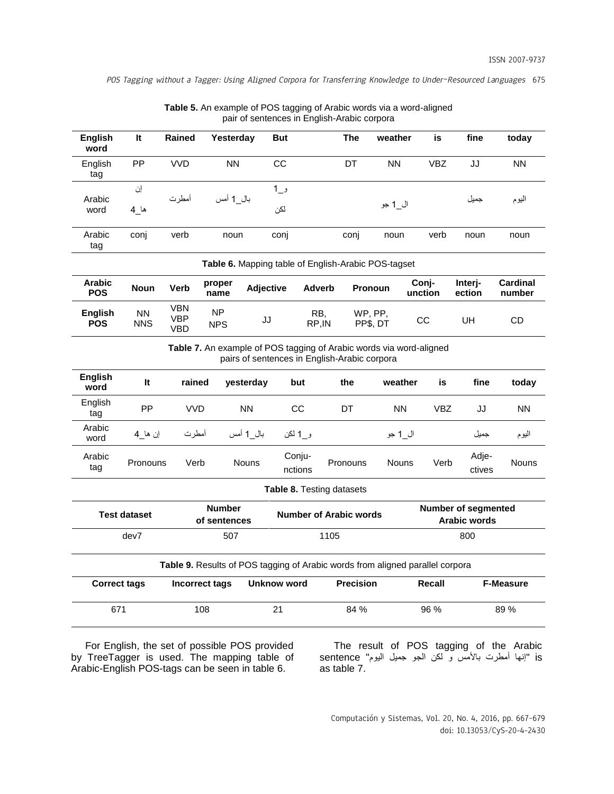| <b>English</b><br>word                                                                                              | It                      | <b>Rained</b>                          | Yesterday                     |                    | <b>But</b> |                               | <b>The</b>                                     | weather                                             | is               | fine                                       | today              |
|---------------------------------------------------------------------------------------------------------------------|-------------------------|----------------------------------------|-------------------------------|--------------------|------------|-------------------------------|------------------------------------------------|-----------------------------------------------------|------------------|--------------------------------------------|--------------------|
| English<br>tag                                                                                                      | PP                      | <b>VVD</b>                             | <b>NN</b>                     |                    | CC         |                               | DT                                             | <b>NN</b>                                           | <b>VBZ</b>       | JJ                                         | <b>NN</b>          |
| Arabic                                                                                                              | إن                      | أمطرت                                  | بال 1 أمس                     |                    | و_1        |                               |                                                |                                                     |                  | جميل                                       | اليوم              |
| word                                                                                                                | ها_4                    |                                        |                               |                    | لكن        |                               |                                                | ال_1 جو                                             |                  |                                            |                    |
| Arabic<br>tag                                                                                                       | conj                    | verb                                   | noun                          |                    | conj       |                               | conj                                           | noun                                                | verb             | noun                                       | noun               |
|                                                                                                                     |                         |                                        |                               |                    |            |                               |                                                | Table 6. Mapping table of English-Arabic POS-tagset |                  |                                            |                    |
| <b>Arabic</b><br><b>POS</b>                                                                                         | <b>Noun</b>             | Verb                                   | proper<br>name                | <b>Adjective</b>   |            | <b>Adverb</b>                 |                                                | <b>Pronoun</b>                                      | Conj-<br>unction | Interj-<br>ection                          | Cardinal<br>number |
| <b>English</b><br><b>POS</b>                                                                                        | <b>NN</b><br><b>NNS</b> | <b>VBN</b><br><b>VBP</b><br><b>VBD</b> | <b>NP</b><br><b>NPS</b>       | JJ                 |            | RB,<br>RP, IN                 |                                                | WP, PP,<br>PP\$, DT                                 | CС               | UH                                         | CD                 |
| Table 7. An example of POS tagging of Arabic words via word-aligned<br>pairs of sentences in English-Arabic corpora |                         |                                        |                               |                    |            |                               |                                                |                                                     |                  |                                            |                    |
| <b>English</b><br>word                                                                                              | It                      | rained                                 |                               | yesterday          |            | but                           | the                                            | weather                                             | is               | fine                                       | today              |
| English<br>tag                                                                                                      | PP                      | <b>VVD</b>                             |                               | <b>NN</b>          |            | <b>CC</b>                     | DT                                             | <b>NN</b>                                           | <b>VBZ</b>       | JJ                                         | <b>NN</b>          |
| Arabic<br>word                                                                                                      | إن ها 4                 | أمطرت                                  |                               | بال 1 أمس          |            | و 1 لکن                       |                                                | ال_1 جو                                             |                  | جميل                                       | اليوم              |
| Arabic<br>tag                                                                                                       | Pronouns                | Verb                                   |                               | <b>Nouns</b>       |            | Conju-<br>nctions             | Pronouns                                       | <b>Nouns</b>                                        | Verb             | Adje-<br>ctives                            | Nouns              |
|                                                                                                                     |                         |                                        |                               |                    |            | Table 8. Testing datasets     |                                                |                                                     |                  |                                            |                    |
|                                                                                                                     | <b>Test dataset</b>     |                                        | <b>Number</b><br>of sentences |                    |            | <b>Number of Arabic words</b> |                                                |                                                     |                  | Number of segmented<br><b>Arabic words</b> |                    |
| dev7<br>507                                                                                                         |                         |                                        |                               | 1105               |            |                               |                                                | 800                                                 |                  |                                            |                    |
| Table 9. Results of POS tagging of Arabic words from aligned parallel corpora                                       |                         |                                        |                               |                    |            |                               |                                                |                                                     |                  |                                            |                    |
| <b>Correct tags</b>                                                                                                 |                         |                                        | Incorrect tags                | <b>Unknow word</b> |            |                               | <b>Precision</b><br><b>F-Measure</b><br>Recall |                                                     |                  |                                            |                    |
| 671<br>108                                                                                                          |                         |                                        |                               | 21<br>84 %         |            | 96 %                          |                                                | 89 %                                                |                  |                                            |                    |

| <b>Table 5.</b> An example of POS tagging of Arabic words via a word-aligned |
|------------------------------------------------------------------------------|
| pair of sentences in English-Arabic corpora                                  |

For English, the set of possible POS provided by TreeTagger is used. The mapping table of Arabic-English POS-tags can be seen in table 6.

The result of POS tagging of the Arabic is" إنها أمطرت باألمس و لكن الجو جميل اليوم" sentence as table 7.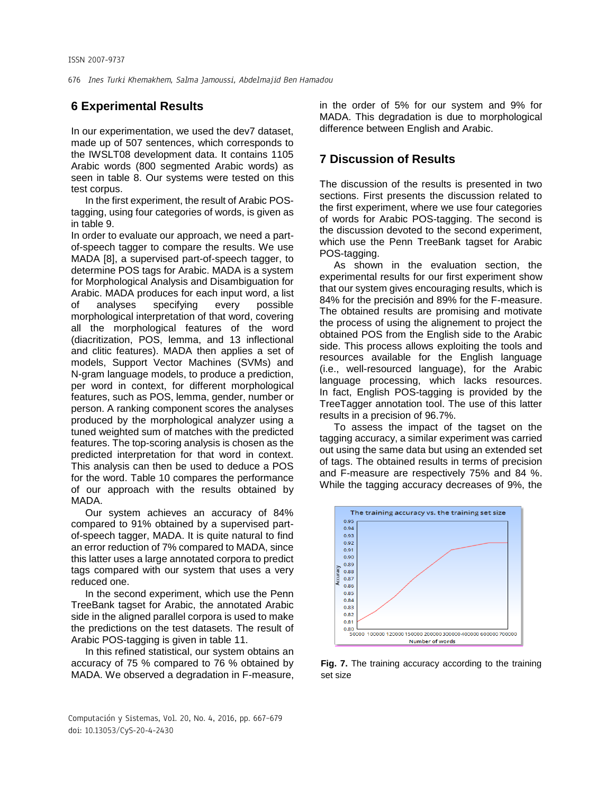## **6 Experimental Results**

In our experimentation, we used the dev7 dataset, made up of 507 sentences, which corresponds to the IWSLT08 development data. It contains 1105 Arabic words (800 segmented Arabic words) as seen in table 8. Our systems were tested on this test corpus.

In the first experiment, the result of Arabic POStagging, using four categories of words, is given as in table 9.

In order to evaluate our approach, we need a partof-speech tagger to compare the results. We use MADA [8], a supervised part-of-speech tagger, to determine POS tags for Arabic. MADA is a system for Morphological Analysis and Disambiguation for Arabic. MADA produces for each input word, a list of analyses specifying every possible morphological interpretation of that word, covering all the morphological features of the word (diacritization, POS, lemma, and 13 inflectional and clitic features). MADA then applies a set of models, Support Vector Machines (SVMs) and N-gram language models, to produce a prediction, per word in context, for different morphological features, such as POS, lemma, gender, number or person. A ranking component scores the analyses produced by the morphological analyzer using a tuned weighted sum of matches with the predicted features. The top-scoring analysis is chosen as the predicted interpretation for that word in context. This analysis can then be used to deduce a POS for the word. Table 10 compares the performance of our approach with the results obtained by MADA.

Our system achieves an accuracy of 84% compared to 91% obtained by a supervised partof-speech tagger, MADA. It is quite natural to find an error reduction of 7% compared to MADA, since this latter uses a large annotated corpora to predict tags compared with our system that uses a very reduced one.

In the second experiment, which use the Penn TreeBank tagset for Arabic, the annotated Arabic side in the aligned parallel corpora is used to make the predictions on the test datasets. The result of Arabic POS-tagging is given in table 11.

In this refined statistical, our system obtains an accuracy of 75 % compared to 76 % obtained by MADA. We observed a degradation in F-measure,

in the order of 5% for our system and 9% for MADA. This degradation is due to morphological difference between English and Arabic.

## **7 Discussion of Results**

The discussion of the results is presented in two sections. First presents the discussion related to the first experiment, where we use four categories of words for Arabic POS-tagging. The second is the discussion devoted to the second experiment, which use the Penn TreeBank tagset for Arabic POS-tagging.

As shown in the evaluation section, the experimental results for our first experiment show that our system gives encouraging results, which is 84% for the precisión and 89% for the F-measure. The obtained results are promising and motivate the process of using the alignement to project the obtained POS from the English side to the Arabic side. This process allows exploiting the tools and resources available for the English language (i.e., well-resourced language), for the Arabic language processing, which lacks resources. In fact, English POS-tagging is provided by the TreeTagger annotation tool. The use of this latter results in a precision of 96.7%.

To assess the impact of the tagset on the tagging accuracy, a similar experiment was carried out using the same data but using an extended set of tags. The obtained results in terms of precision and F-measure are respectively 75% and 84 %. While the tagging accuracy decreases of 9%, the



**Fig. 7.** The training accuracy according to the training set size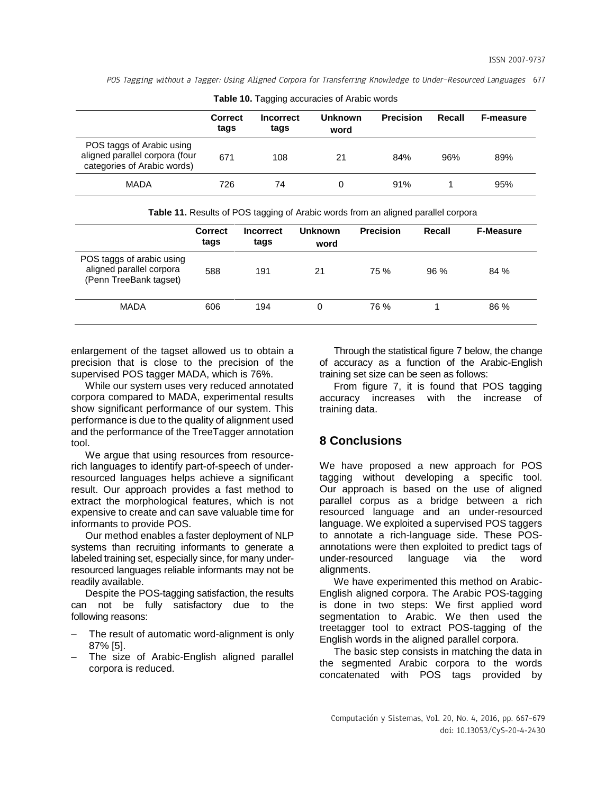|                                                                                            | <b>Correct</b><br>tags | <b>Incorrect</b><br>tags | <b>Unknown</b><br>word | <b>Precision</b> | Recall | <b>F-measure</b> |
|--------------------------------------------------------------------------------------------|------------------------|--------------------------|------------------------|------------------|--------|------------------|
| POS taggs of Arabic using<br>aligned parallel corpora (four<br>categories of Arabic words) | 671                    | 108                      | 21                     | 84%              | 96%    | 89%              |
| <b>MADA</b>                                                                                | 726                    | 74                       |                        | 91%              |        | 95%              |

**Table 10.** Tagging accuracies of Arabic words

**Table 11.** Results of POS tagging of Arabic words from an aligned parallel corpora

|                                                                                 | <b>Correct</b><br>tags | <b>Incorrect</b><br>tags | <b>Unknown</b><br>word | <b>Precision</b> | Recall | <b>F-Measure</b> |
|---------------------------------------------------------------------------------|------------------------|--------------------------|------------------------|------------------|--------|------------------|
| POS taggs of arabic using<br>aligned parallel corpora<br>(Penn TreeBank tagset) | 588                    | 191                      | 21                     | 75 %             | 96%    | 84 %             |
| <b>MADA</b>                                                                     | 606                    | 194                      | 0                      | 76 %             |        | 86 %             |

enlargement of the tagset allowed us to obtain a precision that is close to the precision of the supervised POS tagger MADA, which is 76%.

While our system uses very reduced annotated corpora compared to MADA, experimental results show significant performance of our system. This performance is due to the quality of alignment used and the performance of the TreeTagger annotation tool.

We argue that using resources from resourcerich languages to identify part-of-speech of underresourced languages helps achieve a significant result. Our approach provides a fast method to extract the morphological features, which is not expensive to create and can save valuable time for informants to provide POS.

Our method enables a faster deployment of NLP systems than recruiting informants to generate a labeled training set, especially since, for many underresourced languages reliable informants may not be readily available.

Despite the POS-tagging satisfaction, the results can not be fully satisfactory due to the following reasons:

- The result of automatic word-alignment is only 87% [5].
- The size of Arabic-English aligned parallel corpora is reduced.

Through the statistical figure 7 below, the change of accuracy as a function of the Arabic-English training set size can be seen as follows:

From figure 7, it is found that POS tagging accuracy increases with the increase of training data.

## **8 Conclusions**

We have proposed a new approach for POS tagging without developing a specific tool. Our approach is based on the use of aligned parallel corpus as a bridge between a rich resourced language and an under-resourced language. We exploited a supervised POS taggers to annotate a rich-language side. These POSannotations were then exploited to predict tags of under-resourced language via the word alignments.

We have experimented this method on Arabic-English aligned corpora. The Arabic POS-tagging is done in two steps: We first applied word segmentation to Arabic. We then used the treetagger tool to extract POS-tagging of the English words in the aligned parallel corpora.

The basic step consists in matching the data in the segmented Arabic corpora to the words concatenated with POS tags provided by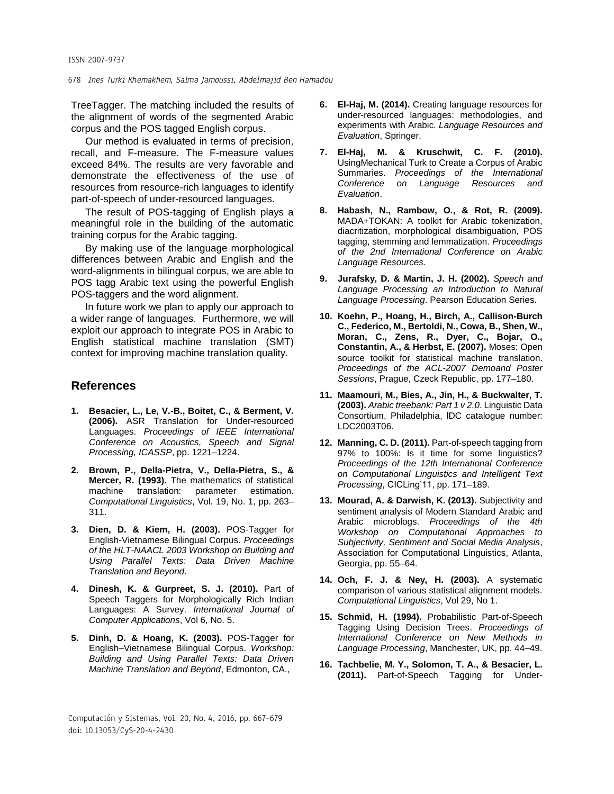TreeTagger. The matching included the results of the alignment of words of the segmented Arabic corpus and the POS tagged English corpus.

Our method is evaluated in terms of precision, recall, and F-measure. The F-measure values exceed 84%. The results are very favorable and demonstrate the effectiveness of the use of resources from resource-rich languages to identify part-of-speech of under-resourced languages.

The result of POS-tagging of English plays a meaningful role in the building of the automatic training corpus for the Arabic tagging.

By making use of the language morphological differences between Arabic and English and the word-alignments in bilingual corpus, we are able to POS tagg Arabic text using the powerful English POS-taggers and the word alignment.

In future work we plan to apply our approach to a wider range of languages. Furthermore, we will exploit our approach to integrate POS in Arabic to English statistical machine translation (SMT) context for improving machine translation quality.

## **References**

- **1. Besacier, L., Le, V.-B., Boitet, C., & Berment, V. (2006).** ASR Translation for Under-resourced Languages. *Proceedings of IEEE International Conference on Acoustics, Speech and Signal Processing, ICASSP*, pp. 1221–1224.
- **2. Brown, P., Della-Pietra, V., Della-Pietra, S., & Mercer, R. (1993).** The mathematics of statistical machine translation: parameter estimation. *Computational Linguistics*, Vol. 19, No. 1, pp. 263– 311.
- **3. Dien, D. & Kiem, H. (2003).** POS-Tagger for English-Vietnamese Bilingual Corpus. *Proceedings of the HLT-NAACL 2003 Workshop on Building and Using Parallel Texts: Data Driven Machine Translation and Beyond*.
- **4. Dinesh, K. & Gurpreet, S. J. (2010).** Part of Speech Taggers for Morphologically Rich Indian Languages: A Survey. *International Journal of Computer Applications*, Vol 6, No. 5.
- **5. Dinh, D. & Hoang, K. (2003).** POS-Tagger for English–Vietnamese Bilingual Corpus. *Workshop: Building and Using Parallel Texts: Data Driven Machine Translation and Beyond*, Edmonton, CA.,
- **6. El-Haj, M. (2014).** [Creating language resources for](http://www.google.com/url?sa=t&rct=j&q=&esrc=s&source=web&cd=1&cad=rja&uact=8&ved=0CCMQFjAA&url=http%3A%2F%2Flink.springer.com%2Farticle%2F10.1007%252Fs10579-014-9274-3&ei=JbrlVKP-HsfpUp_wgTA&usg=AFQjCNHHC6JQGcCadzJ_8zlMqUvo9fpmiw&bvm=bv.85970519,d.d24)  [under-resourced languages](http://www.google.com/url?sa=t&rct=j&q=&esrc=s&source=web&cd=1&cad=rja&uact=8&ved=0CCMQFjAA&url=http%3A%2F%2Flink.springer.com%2Farticle%2F10.1007%252Fs10579-014-9274-3&ei=JbrlVKP-HsfpUp_wgTA&usg=AFQjCNHHC6JQGcCadzJ_8zlMqUvo9fpmiw&bvm=bv.85970519,d.d24): methodologies, and experiments with Arabic. *[Language Resources and](http://link.springer.com/journal/10579)  [Evaluation](http://link.springer.com/journal/10579)*, Springer.
- **7. El-Haj, M. & Kruschwit, C. F. (2010).** UsingMechanical Turk to Create a Corpus of Arabic Summaries. *Proceedings of the International Conference on Language Resources and Evaluation*.
- **8. Habash, N., Rambow, O., & Rot, R. (2009).** MADA+TOKAN: A toolkit for Arabic tokenization, diacritization, morphological disambiguation, POS tagging, stemming and lemmatization. *Proceedings of the 2nd International Conference on Arabic Language Resources*.
- **9. Jurafsky, D. & Martin, J. H. (2002).** *Speech and Language Processing an Introduction to Natural Language Processing*. Pearson Education Series.
- **10. Koehn, P., Hoang, H., Birch, A., Callison-Burch C., Federico, M., Bertoldi, N., Cowa, B., Shen, W., Moran, C., Zens, R., Dyer, C., Bojar, O., Constantin, A., & Herbst, E. (2007).** Moses: Open source toolkit for statistical machine translation. *Proceedings of the ACL-2007 Demoand Poster Sessions*, Prague, Czeck Republic, pp. 177–180.
- **11. Maamouri, M., Bies, A., Jin, H., & Buckwalter, T. (2003).** *Arabic treebank: Part 1 v 2.0*. Linguistic Data Consortium, Philadelphia, lDC catalogue number: LDC2003T06.
- **12. Manning, C. D. (2011).** Part-of-speech tagging from 97% to 100%: Is it time for some linguistics? *Proceedings of the 12th International Conference on Computational Linguistics and Intelligent Text Processing*, CICLing'11, pp. 171–189.
- **13. Mourad, A. & Darwish, K. (2013).** Subjectivity and sentiment analysis of Modern Standard Arabic and Arabic microblogs. *Proceedings of the 4th Workshop on Computational Approaches to Subjectivity, Sentiment and Social Media Analysis*, Association for Computational Linguistics, Atlanta, Georgia, pp. 55–64.
- **14. Och, F. J. & Ney, H. (2003).** A systematic comparison of various statistical alignment models. *Computational Linguistics*, Vol 29, No 1.
- **15. Schmid, H. (1994).** [Probabilistic Part-of-Speech](http://www.cis.uni-muenchen.de/~schmid/tools/TreeTagger/data/tree-tagger1.pdf)  [Tagging Using Decision Trees.](http://www.cis.uni-muenchen.de/~schmid/tools/TreeTagger/data/tree-tagger1.pdf) *Proceedings of International Conference on New Methods in Language Processing*, Manchester, UK, pp. 44–49.
- **16. Tachbelie, M. Y., Solomon, T. A., & Besacier, L. (2011).** Part-of-Speech Tagging for Under-